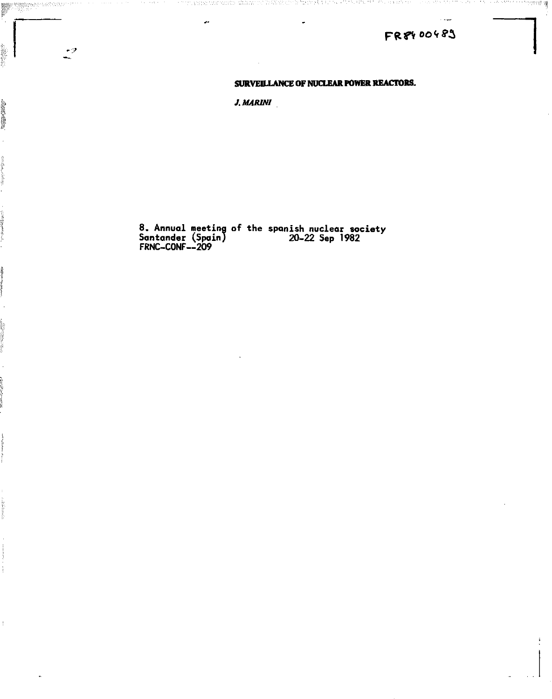# **F&rvoo\*'<sup>5</sup> ^**

蹲

## **SURVEILLANCE OF NUCLEAR POWER REACTORS.**

*J.MARINI* 

ورب

動談論院

**8. Annual meeting of the Spanish nuclear society Santander (Spain) 20-22 Sep 1982 FRNC-C0NF--209**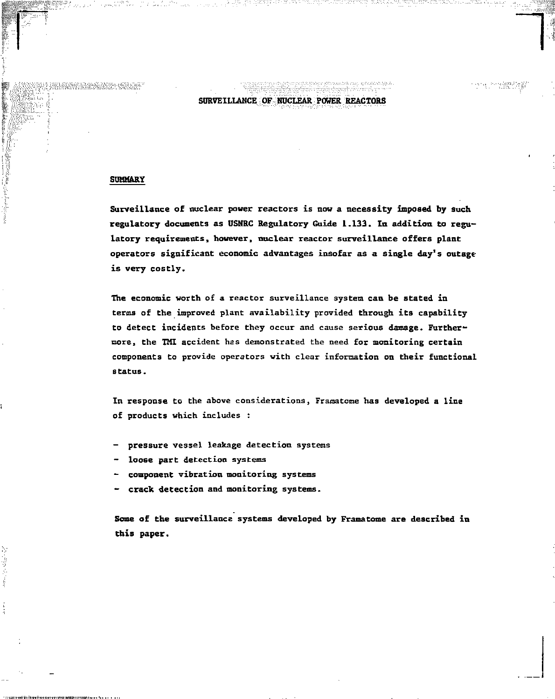## **SURVEILLANCE OF NUCLEAR POWER REACTORS**

### **SUMMARY**

**Surveillance of nuclear power reactors is now a necessity imposed by such regulatory documents as USNRC Regulatory Guide 1.133. In addition to regulatory requirements, however, nuclear reactor surveillance offers plant operators significant economic advantages insofar as a single day's outage is very costly.** 

**The economic worth of a reactor surveillance system can be stated in terms of the improved plant availability provided through its capability to detect incidents before they occur and cause serious damage. Furthermore, the TIG accident has demonstrated the need for monitoring certain components to provide operators with clear information on their functional status.** 

**In response to the above considerations, Frimatone has developed a line of products which includes :** 

- **pressure vessel leakage detection systems**
- **loose part detection systems**
- **component vibration monitoring systems**
- **crack detection and monitoring systems.**

**Some of the surveillance systems developed by Framatome are described in this paper.**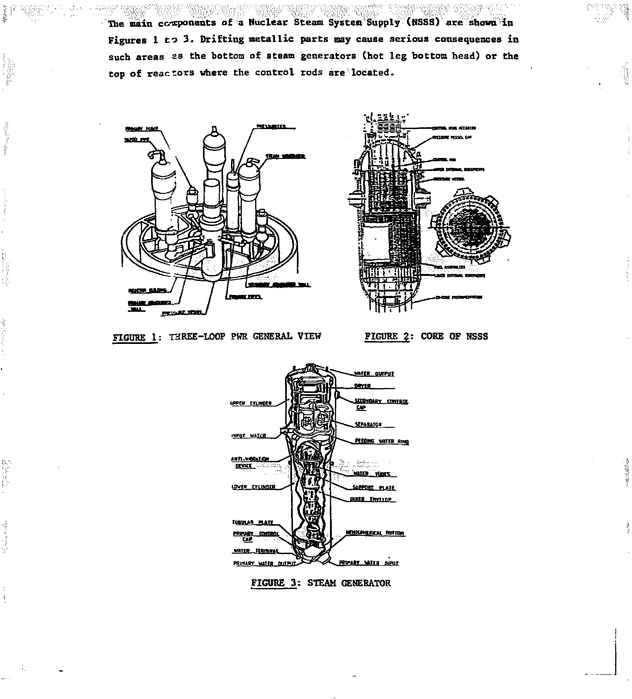**The main components of a Nuclear Steam System Supply (NSSS) are shown in Figures 1 to 3. Drifting metallic parts may cause serious consequences in**  such areas as the bottom of steam generators (hot leg bottom head) or the **top of reactors where the control rods are located.** 

WA BERTAWA SERGE TERRATU TERRATU DENGAN TERRATU DAN TERRATU







物质增加



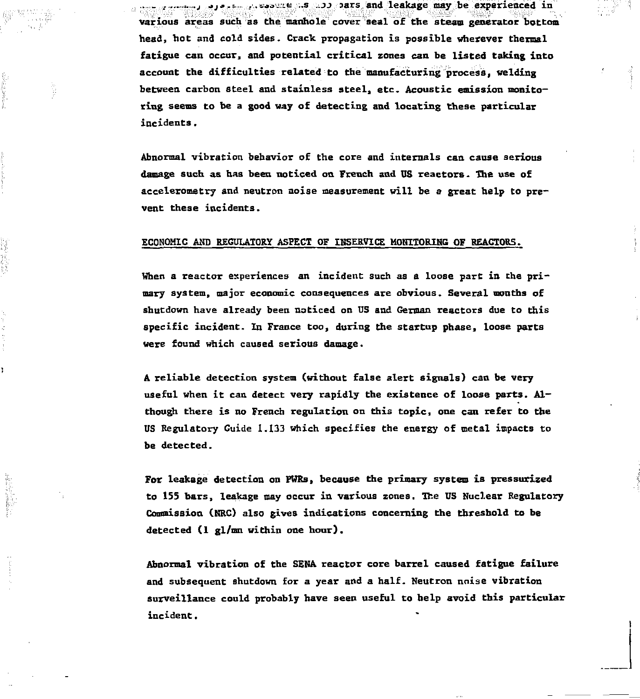**various areas such as the manhole cover seal of the steam generator bottom head) bot and cold sides. Crack propagation is possible wherever thermal fatigue can occur, and potential critical zones can be listed taking into account the difficulties related to the manufacturing process, welding between carbon steel and stainless steel, etc. Acoustic emission monitoring seems to be a good way of detecting and locating these particular incidents.** 

**.. .** *j* **->\_,.»--.. ...iM.M; ..s ..JJ jars and leakage may be experienced in** 

**Abnormal vibration behavior of the core and internals can cause serious damage such as has been noticed on French and US reactors, the use of accelerometry and neutron noise measurement will be a great help to prevent these incidents.** 

#### **ECONOMIC AMD REGULATORY ASPECT OF IBSERVICE MONITORING OF REACTORS.**

When a reactor experiences an incident such as a loose part in the pri**mary system, major economic consequences are obvious. Several months of shutdown have already been noticed on US and German reactors due to this specific incident. In France too, during the startup phase, loose parts were found which caused serious damage.** 

**A reliable detection system (without false alert signals) can be very useful when it can detect very rapidly the existence of loose parts. Although there is no French regulation on this topic, one can refer to the US Regulatory Guide 1.133 which specifies the energy of metal impacts to be detected.** 

**For leakage detection on PHRs, because the primary system is pressurized to 155 bars, leakage may occur in various zones. The US Nuclear Regulatory Commission (KRC) also gives indications concerning the threshold to be detected (1 gl/mn within one hour).** 

**Abnormal vibration of the SENA reactor core barrel caused fatigue failure and subsequent shutdown for a year and a half. Neutron noise vibration surveillance could probably have seen useful to belp avoid this particular incident.**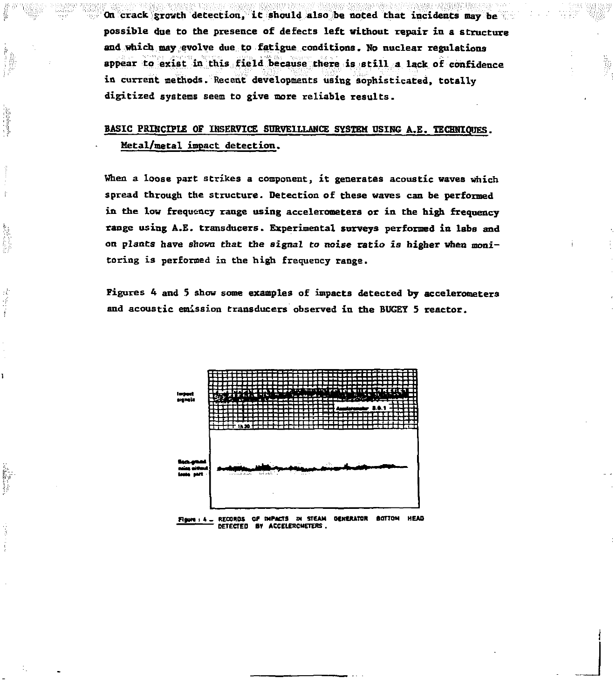**On crack growth detection, it should also be noted that incidents may be possible due to the presence of defects left without repair in a structure and which may evolve due to fatigue conditions. No nuclear regulations appear to exist in this field because there is still a lack of confidence in curxeht methods. Recent developments using sophisticated, totally digitized systems seem to give more reliable results.** 

## **BASIC PRINCIPLE OF INSERVICE SURVEILLANCE SYSTEM USING A.E. TECHNIQUES. Metal/metal impact detection.**

**When a loose part strikes a component, it generates acoustic waves which spread through the structure. Detection of these waves can be performed in the low frequency range using accelerometers or in the high frequency range using A.E. transducers. Experimental surveys performed in labs and on plants have shown that the signal** *to noise* **ratio is higher when monitoring is performed in the high frequency range.** 

**Figures 4 and 5 show some examples of impacts detected by accelerometers and acoustic emission transducers observed in the BUGEY S reactor.** 



**Figure: 4 - RECORDS OF IMPACTS IN STEAM GENERATOR GOTTOM HEAD DETECTED B» ACCELERCHETERS .**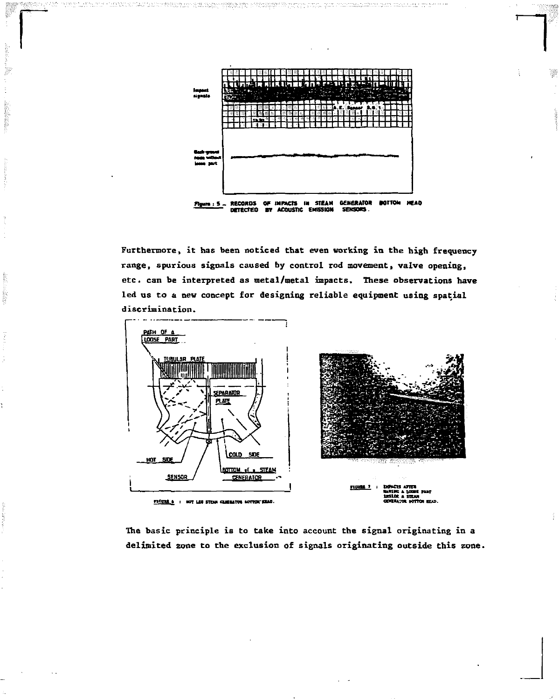

indiction of the construction of the company of the company of the company of the society of the company of th<br>In the company of the company of the company of the company of the company of the company of the company of th

Furthermore, it has been noticed that even working in the high frequency range, spurious signals caused by control rod movement, valve opening, etc. can be interpreted as metal/metal impacts. These observations have led us to a new concept for designing reliable equipment using spatial discrimination.

ł

digital.



The basic principle is to take into account the signal originating in a delimited zone to the exclusion of signals originating outside this zone.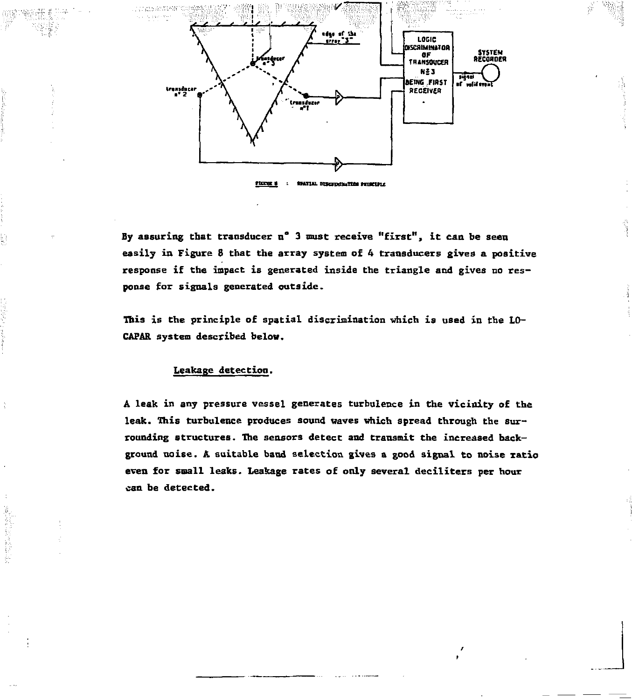

Flores &  $\ddot{\phantom{a}}$ **tMiUL** *BtsaveMxTUE naeuu* 

**By assuring that transducer n° 3 must receive "first", it can be seen easily in Figure 8 that the array system of 4 transducers gives a positive response if the impact is generated inside the triangle and gives no response for signals generated outside.** 

**This is the principle of spatial discrimination which is used in the LO-CAPAR system described below.** 

#### **Leakage detection.**

**A leak in any pressure vessel generates turbulence in the vicinity of the leak. This turbulence produces sound waves which spread through the surrounding structures. The sensors detect and transmit the increased background noise. A suitable band selection gives a good signal to noise ratio even for small leaks. Leakage rates of only several deciliters per hour can be detected.**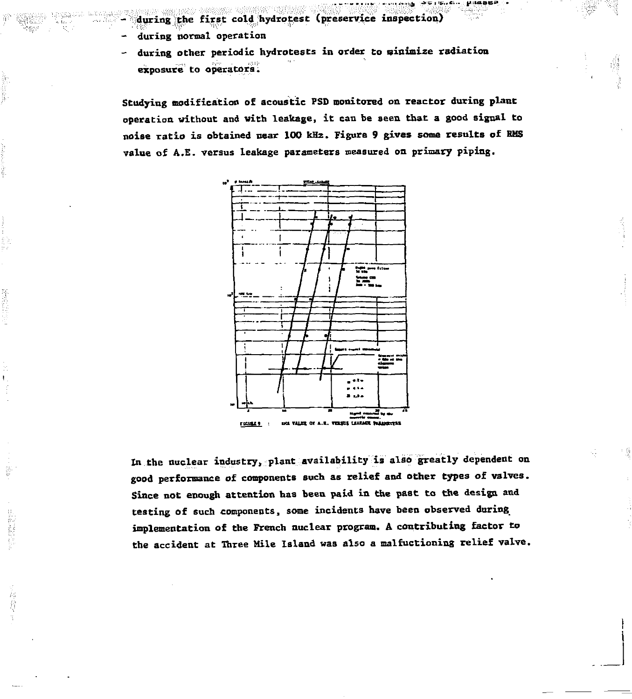- during the first cold hydrotest (preservice inspection)
- during normal operation
- during other periodic hydrotests in order to minimize radiation exposure to operators.

Studying modification of acoustic PSD monitored on reactor during plant operation without and with leakage, it can be seen that a good signal to noise ratio is obtained near 100 kHz. Figure 9 gives some results of RMS value of A.E. versus leakage parameters measured on primary piping.

**. 30 10, 6. . . D.1886P** 



In the nuclear industry, plant availability is also greatly dependent on good performance of components such as relief and other types of valves. Since not enough attention has been paid in the past to the design and testing of such components, some incidents have been observed during implementation of the French nuclear program. A contributing factor to the accident at Three Mile Island was also a malfuctioning relief valve.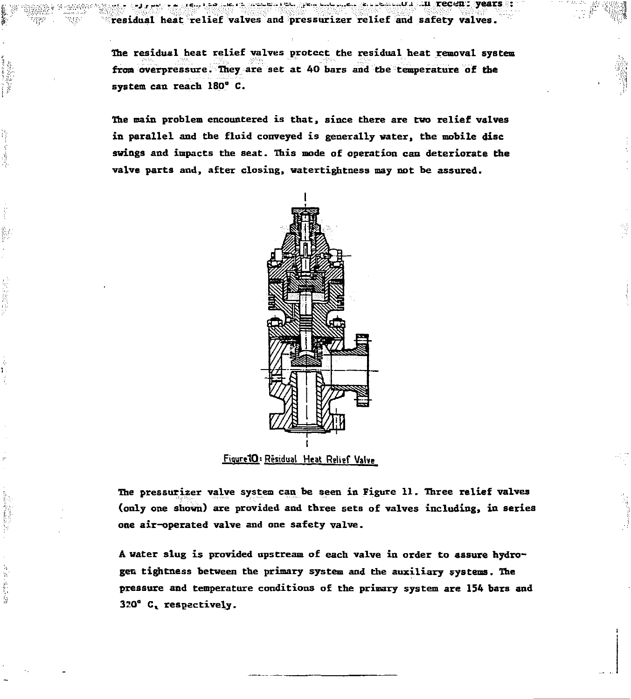**.., . .j. <sup>r</sup> — <sup>i</sup>** *--* **ic...•-•> ..!<:.<- ,.'ii\_ii...'tv. y«... 1...1 «... c.--'=.. u-i -ii recen : year s : residual heat relief valves and pressurizer relief and safety valves.** 

**The residual heat relief valves protect the residual heat removal system from overpressure. They are set at 40 bars and the temperature of the system can reach 180° C.** 

**The main problem encountered is that, since there are two relief valves in parallel and the fluid conveyed is generally water, the mobile disc swings and impacts the seat. This mode of operation can deteriorate the valve parts and, after closing, watertightness may not be assured.** 



**FiqurelQ: Residual Heat Relief Vahe** 

i international

and at a background

**The pressurizer valve system can be seen in Figure 11. Three relief valves (only one shown) are provided and three sets of valves including, in series one air-operated valve and one safety valve.** 

**A water slug is provided upstream of each valve in order to assure hydrogen tightness between the primary system and the auxiliary systems. The pressure and temperature conditions of the primary system are 154 bars and 320° C <sup>v</sup> respectively.**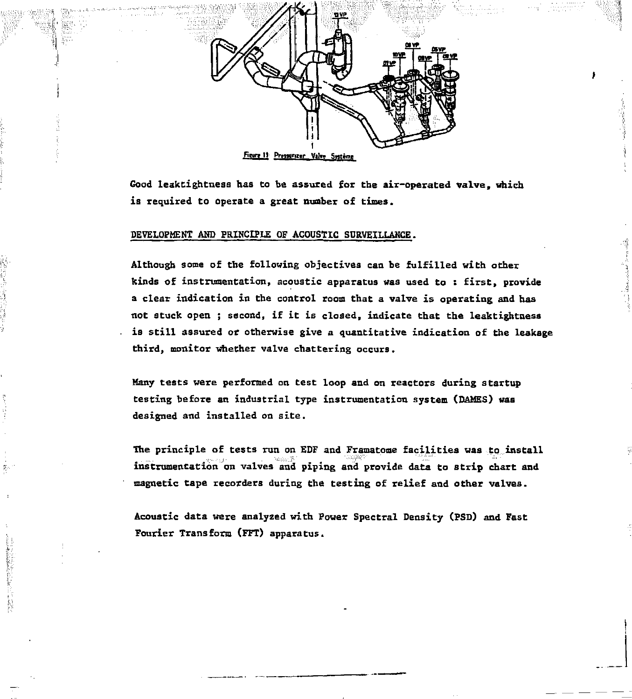

Figure 11: Pressurizer Valve Système

**Good leaktightness has to be assured for the air-operated valve, which is required to operate a great number of times.** 

#### **DEVELOPMENT AHD PRINCIPLE OF ACOUSTIC SDRVEILLAHCE.**

影

**Although some of the following objectives can be fulfilled with other kinds of instrumentation, acoustic apparatus was used to : first, provide a clear indication in the control room that a valve is operating and has not stuck open ; second, if it is closed, indicate that the leaktightness is still assured or otherwise give a quantitative indication of the leakage third, monitor whether valve chattering occurs.** 

**Many tests were performed on test loop and on reactors during startup testing before an industrial type instrumentation system (DAMES) was designed and installed on site.** 

**The principle of tests run on EDF and Framatome facilities was to install instrumentation on valves and piping and provide data to strip chart and magnetic tape recorders during the testing of relief and other valves.** 

**Acoustic data were analyzed with Power Spectral Density (PSD) and Fast Fourier Transform (FFT) apparatus.**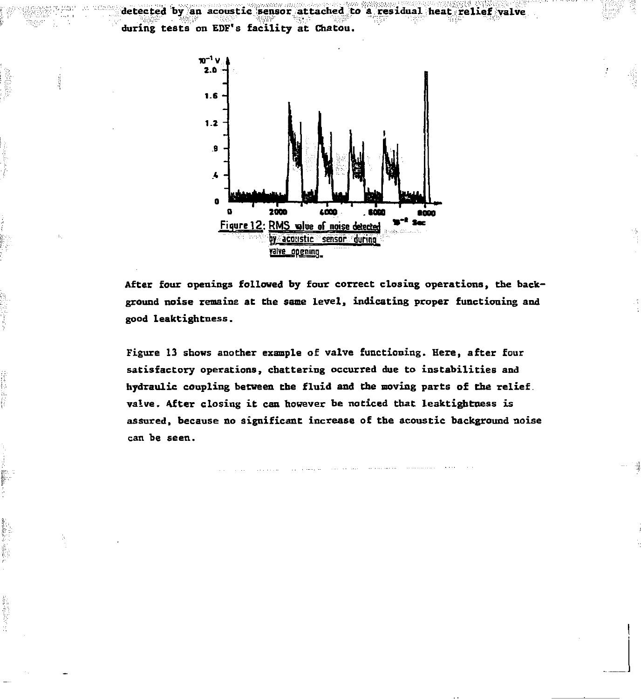**during tests on EOT's facility at Chatou.** 



**detected by an acoustic sensor attached to a residual heat relief valve** 

**After four openings followed by four correct closing operations, the background noise remains at the same level, indicating proper functioning and good leaktightness.** 

**Figure 13 shows another example of valve functioning. Here, after four satisfactory operations, chattering occurred due to instabilities and hydraulic coupling between the fluid and the moving parts of the relief, valve. After closing it can however be noticed that leaktightness is assured, because no significant increase of the acoustic background noise can be seen.**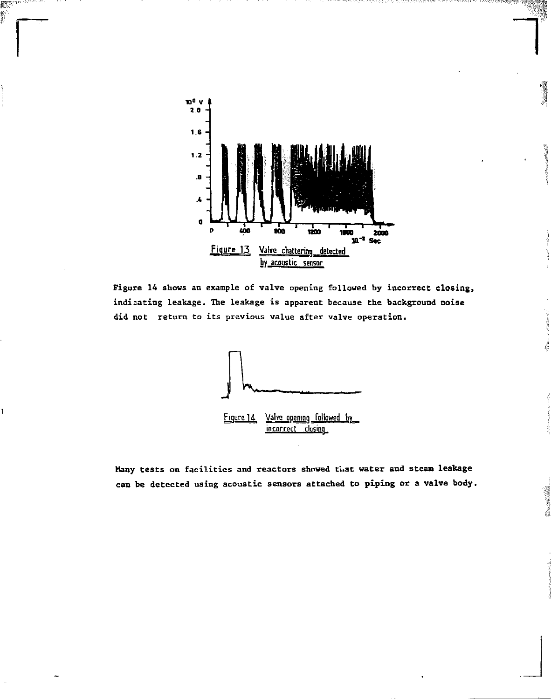

2

men m

> **Figure 14** shows an example of valve opening followed by **incorrect closing, indi:ating** leakage. The leakage is apparent because the background **noise did not** return to its previous value after valve operation.



Many tests on facilities and reactors showed tuat water and steam leakage **can** be detected using acoustic sensors attached to piping **or a valve body.**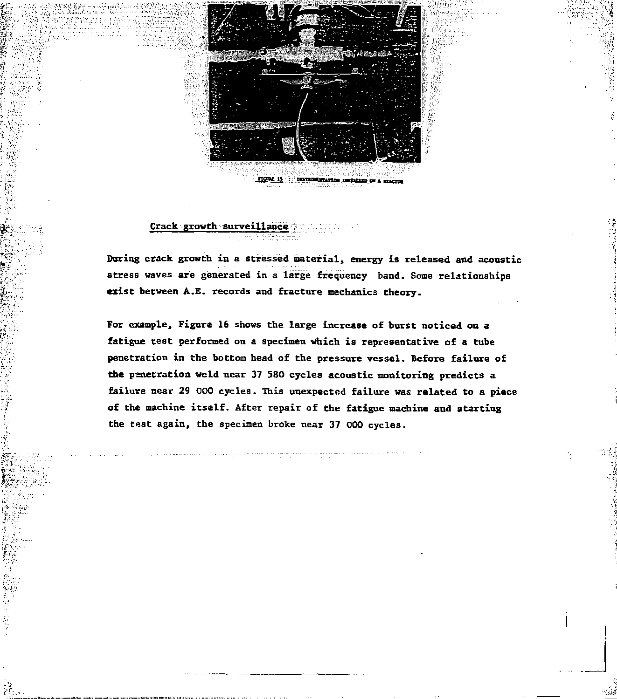

## **Crack growth surveillance**

**During crack growth in a stressed material, energy is released and acoustic stress waves are generated in a large frequency band. Some relationships exist between A.E. records and fracture mechanics theory.** 

**For example, Figure 16 shows the large increase of burst noticed on a fatigue test performed on a specimen which is representative of a tube penetration in the bottom head of the pressure vessel. Before failure of the penetration weld near 37 580 cycles acoustic monitoring predicts a failure near 29 000 cycles. This unexpected failure was related to a piece of the machine itself. After repair of the fatigue machine and starting the test again, the specimen broke near 37 000 cycles.**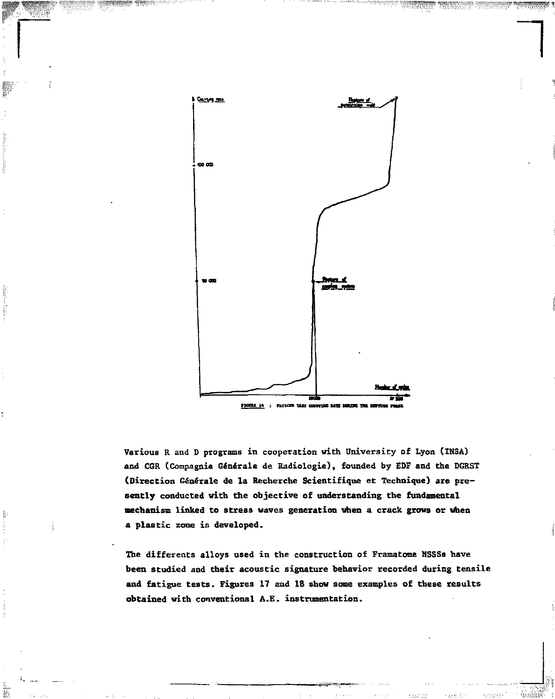

*1* 

*§&>\$%* S^IKKSV^'CI.

Sider from the control

ğ.

됾

**Various R and D programs in cooperation with University of Lyon (INSA) and CQR (Compagnie Générale de Radiologie), founded by EOF and the DGRST (Direction Générale de la Recherche Scientifique et Technique) are presently conducted with the objective of understanding the fundamental mechanism linked to stress waves generation when a crack grows or when a plastic zone is developed.** 

**The différents alloys used in the construction of Framatome NSSSs have been studied and their acoustic signature behavior recorded during tensile and fatigue tests. Figures 17 and 18 show some examples of these results obtained with conventional A.E. instrumentation.**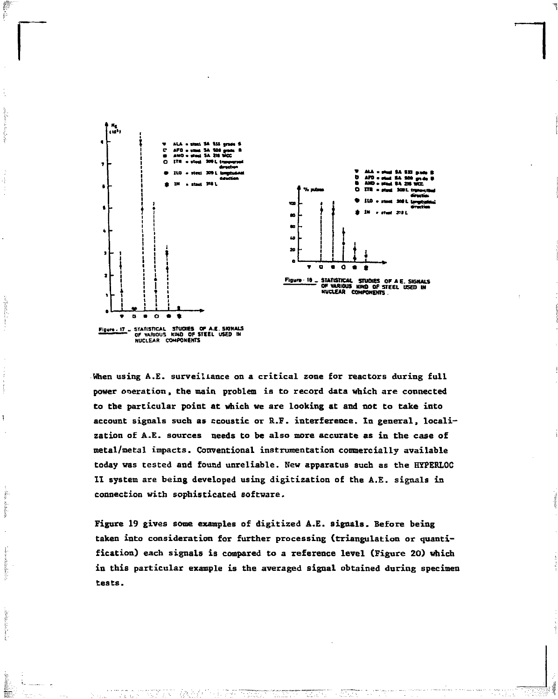

When using A.E. surveillance on a critical zone for reactors during full power operation, the main problem is to record data which are connected to the particular point at which we are looking at and not to take into account signals such as acoustic or R.F. interference. In general, localization of A.E. sources needs to be also more accurate as in the case of metal/metal impacts. Conventional instrumentation commercially available today was tested and found unreliable. New apparatus such as the HYPERLOC II system are being developed using digitization of the A.E. signals in connection with sophisticated software.

Figure 19 gives some examples of digitized A.E. signals. Before being taken into consideration for further processing (triangulation or quantification) each signals is compared to a reference level (Figure 20) which in this particular example is the averaged signal obtained during specimen tests.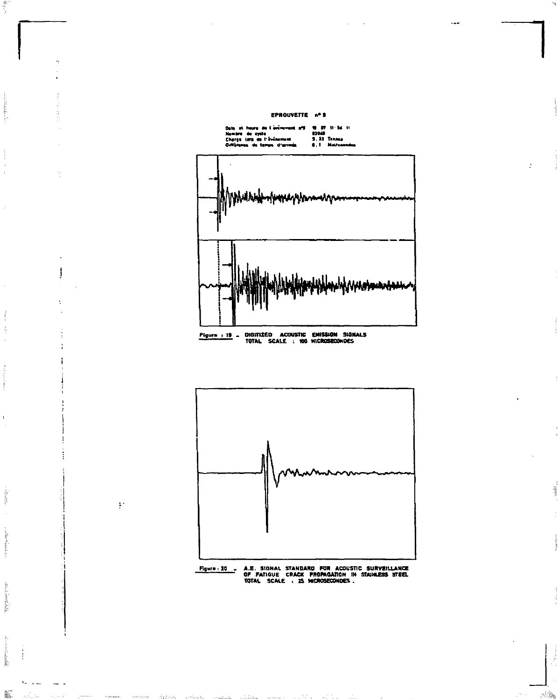

is at he ure de www.communes.com<br>Charge Lora de Cytle<br>Childrama de Leng us d'arr

and and address the fact

þ

 $\begin{array}{ccc} \mathbf{1} & \mathbf{1} & \mathbf{1} & \mathbf{1} \\ \mathbf{1} & \mathbf{1} & \mathbf{1} & \mathbf{1} \\ \mathbf{1} & \mathbf{1} & \mathbf{1} & \mathbf{1} \\ \mathbf{1} & \mathbf{1} & \mathbf{1} & \mathbf{1} \\ \mathbf{1} & \mathbf{1} & \mathbf{1} & \mathbf{1} \\ \mathbf{1} & \mathbf{1} & \mathbf{1} & \mathbf{1} \\ \mathbf{1} & \mathbf{1} & \mathbf{1} & \mathbf{1} \\ \mathbf{1} & \mathbf{1} & \mathbf$ ś

 $\bar{z}$ 

 $\frac{1}{2}$ 

 $\mathbf{I}$ 

edi can

or collaves, aver-

**Billion Controller** 

Î ł ini di

鬣

j

 $\frac{1}{2}$ 

19 07 11:56 11<br>83048<br>6.1 Matricend





i.

 $\mathcal{A}^{\mathbb{R}}$ 

**A.E. SIGNAL STANDARD FOR ACOUSTIC SURVEILLANCE<br>OF FATIGUE CRACK PROPAGATION IN STAINLESS STEEL**<br>TOTAL SCALE : 25 MICROSECONDES . Figure - 20 -

**Service**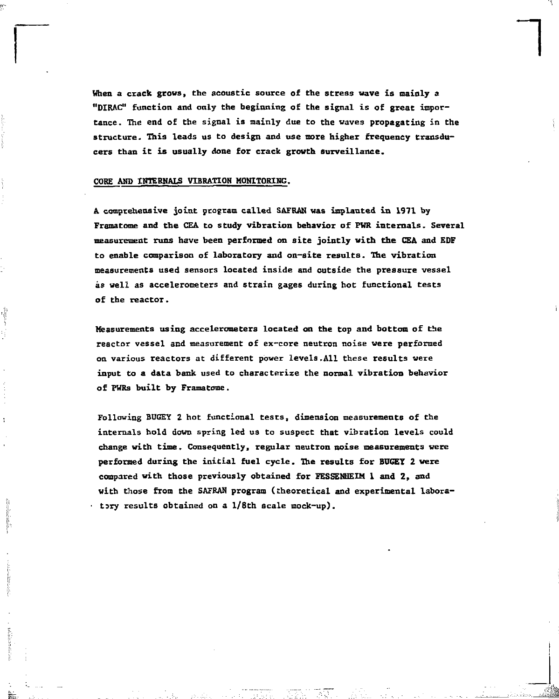**When a crack grows, the acoustic source of the stress wave is mainly a "DIRAC" function and only the beginning of the signal is of great importance. The end of the signal is mainly due to the waves propagating in the structure. This leads us to design and use more higher frequency transducers than it is usually done for crack growth surveillance.** 

## **CORE AND IHTEBHALS VIBRATION MONITORING.**

**A comprehensive joint program called SAFRAN was implanted in 1971 by Framatome and the CEA to study vibration behavior of FRR internals. Several measurement runs have been performed on site jointly with the CEA and EDF to enable comparison of laboratory and on-site results. The vibration measurements used sensors located inside and outside the pressure vessel as well as accelerometers and strain gages during hot functional tests of the reactor.** 

**Measurements using accelerometers located on the top and bottom of the reactor vessel and measurement of ex-core neutron noise were performed on various reactors at different power levels.All these results were input to a data bank used to characterize the normal vibration behavior of PWRs built by Framatome.** 

**Following BUGEY 2 hot functional tests, dimension measurements of the internals hold down spring led us to suspect that vibration levels could change with time. Consequently, regular neutron noise measurements were performed during the initial fuel cycle. The results for BUGGY 2 were compared with those previously obtained for FESSENHEIM 1 and 2, and with those from the SAFRAN program (theoretical and experimental labora- - tsry results obtained on a l/8th scale mock-up).**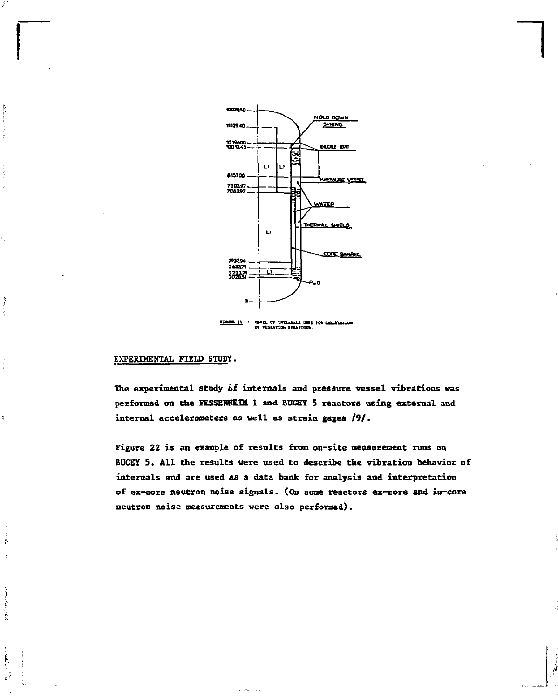

*1* 

 $r = 11$ MODEL OF INTERNALS USED FOR CALCULATION<br>Of Viseation Senaviors,

## **EXPERIMENTAL FIELD STUDY.**

ŀ

Ă

ī

Ì

Sidney.

**The experimental study ôf internals and pressure vessel vibrations was performed on the FESSEHHEIM 1 and BUGEY S reactors using external and internal accelerometers as well as strain gages /9/.** 

**Figure 22 is an example of results from on-site measurement runs on BUGEY 5. All the results were used to describe the vibration behavior of internals and are used as a data bank for analysis and interpretation of ex-core neutron noise signals. (On some reactors ex-core and in-core neutron noise measurements were also performed).**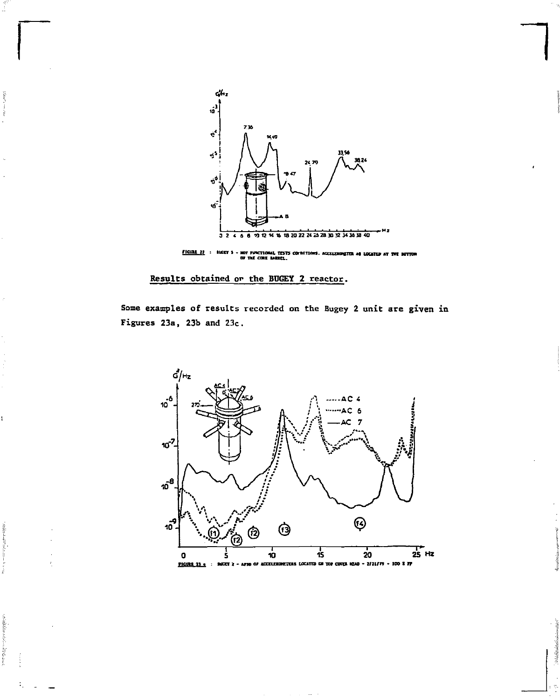

FIGURE 22 : BIGEY 5 - NOT FUNCTIONAL TESTS COFBITIONS. ACCELERINGTER AS LOCATED AT THE ROTTOM OF THE CORE BARREL.

Results obtained or the BUGEY 2 reactor.

î.

ing a strong

医萨尔

Some examples of results recorded on the Bugey 2 unit are given in Figures 23a, 23b and 23c.

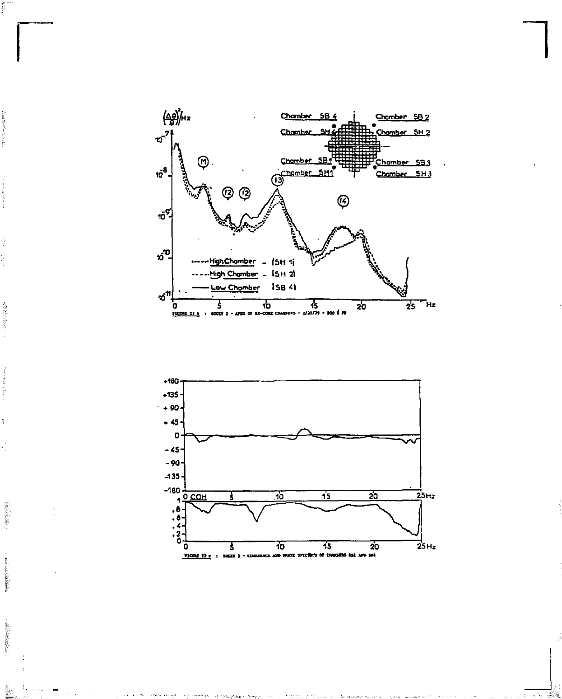

The property of the state of

ì

**Bearing** 

**Real Assistance** 

Technology.

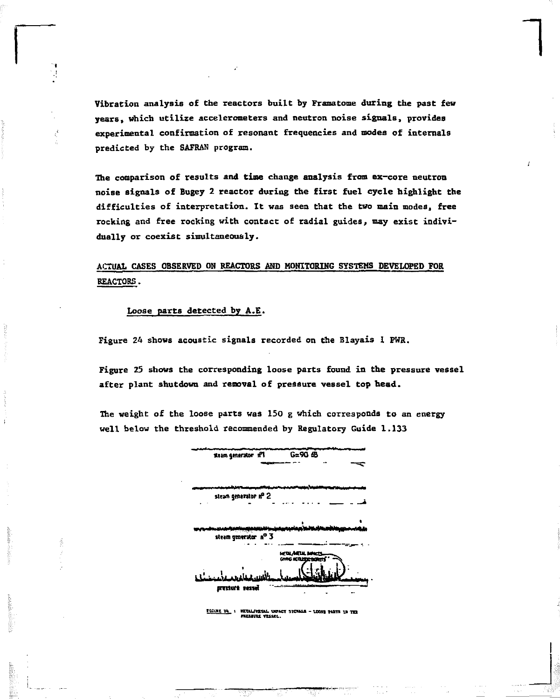Vibration analysis of the reactors built by Framatome during the past few years, which utilize accelerometers and neutron noise signals, provides experimental confirmation of resonant frequencies and modes of internals predicted by the SAFRAN program.

**1** 

The comparison of results and **time** change analysis from ex-core neutron noise signals of Bugey 2 reactor during the first fuel cycle highlight the difficulties of interpretation. It was seen that the two main modes, free rocking and free rocking with contact of radial guides, may exist individually or coexist simultaneously.

## ACTUAL CASES OBSERVED OH REACTORS AND MONITORING SYSTEMS DEVELOPED FOR REACTORS.

## Loose parts detected by A.E.

Figure 24 shows acoustic signals recorded on the Blayais 1 PWR.

Figure 25 shows the corresponding loose parts found in **the** pressure vessel after plant shutdown and removal of pressure vessel top **head.** 

The weight of the loose parts was 150 g which corresponds to an energy well below the threshold recommended by Regulatory Guide 1.133

| steam generator if1                            | G=90 4B                                     |
|------------------------------------------------|---------------------------------------------|
| steam generator of 2                           |                                             |
| <b>September</b><br>۰.<br>steam generator nº 3 |                                             |
| bezet thuzzną                                  | <b>METAL</b><br>.<br>ووعودهم<br><b>CNNG</b> |

**t taut tt •.** *mujwtu.* **IXMCT SICMU - uesi m » i, m nusuu ttsszL.**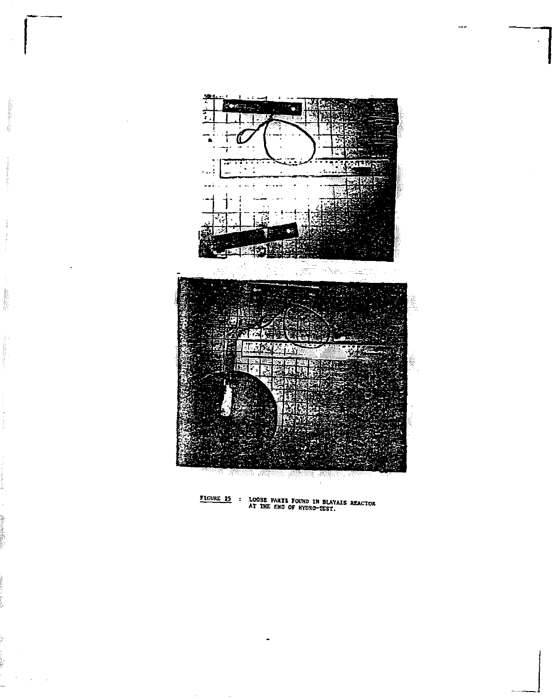

**Channel** 

**FIGURE 25 : LOOSE PARTS FOUND IN BLAYAIS REACTOR**<br>AT THE END OF HYDRO-TEST.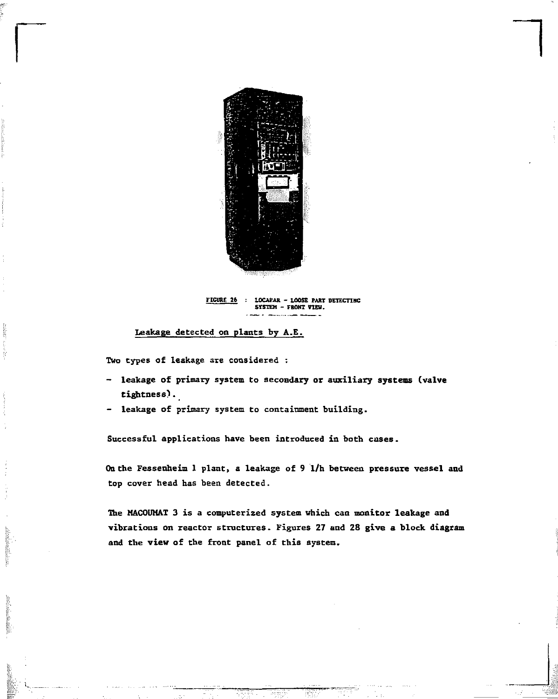

**Fiante 26 : LOCAFAK - LOOSE PART DEIECTINC SYSTEM - FRONT VIEW.** 

## **Leakage detected on plants by A.E.**

**Two types of leakage are considered :** 

ing the property

- **leakage of primary system to secondary or auxiliary systems (valve tightness?.**
- **leakage of primary system to containment building.**

**Successful applications have been introduced in both cases.** 

**Oa the Fessenheim 1 plant, a leakage of 9 1/h between pressure vessel and top cover head has been detected.** 

**The MACOUMAT 3 is a computerized system which can monitor leakage and vibrations on reactor structures. Figures 27 and 28 give a block diagram and the view of the front panel of this system.**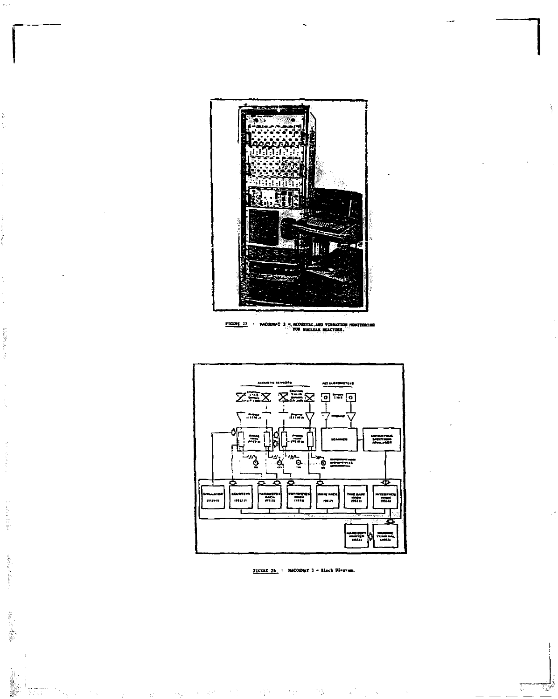

FIGURE 23 : NACO œ, mares m vm LТ. --martons.

a progressive control

Ŕ

Beliau dalmen

**Controlled State** 

ta E



FIGURE 28. : NACOUNAT 3 - Block Disgues.

 $\gamma_{\rm T}$  :

 $\sim_{\rm SM}$  ,  $\sim$   $\sim$   $\sim$   $\sim$   $\sigma$ 

 $\bar{\mathbb{Z}}$ 

 $\sim 3\frac{1}{14}$  .

 $\rightarrow$  5  $^{\circ}$ 

 $\gamma_{\rm eff}$ 

 $\hat{u}$ 

ä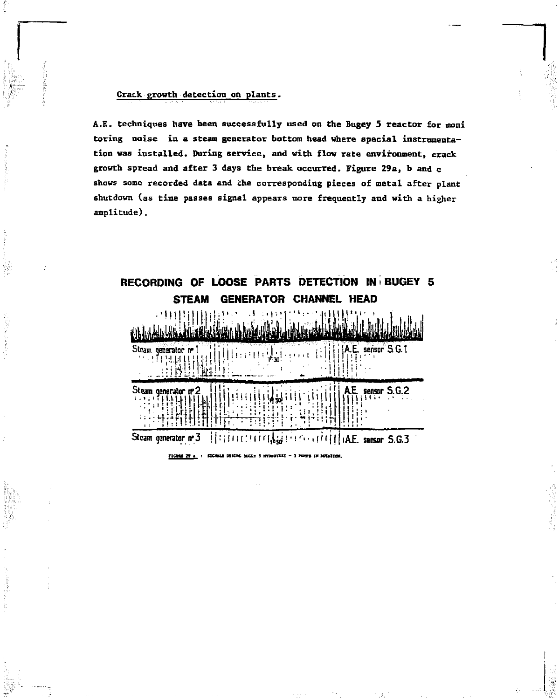## Crack growth detection on plants.

A.E. techniques have been successfully used on the Bugey 5 reactor for moni toring noise in a steam generator bottom head where special instrumentation was installed. During service, and with flow rate environment, crack growth spread and after 3 days the break occurred. Figure 29a, b and c shows some recorded data and the corresponding pieces of metal after plant shutdown (as time passes signal appears more frequently and with a higher amplitude).



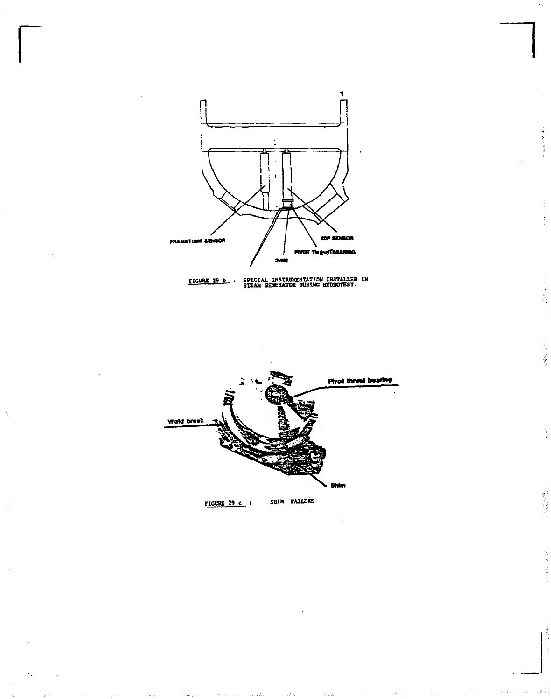



á

T.

43



 $\mathbf{I}$